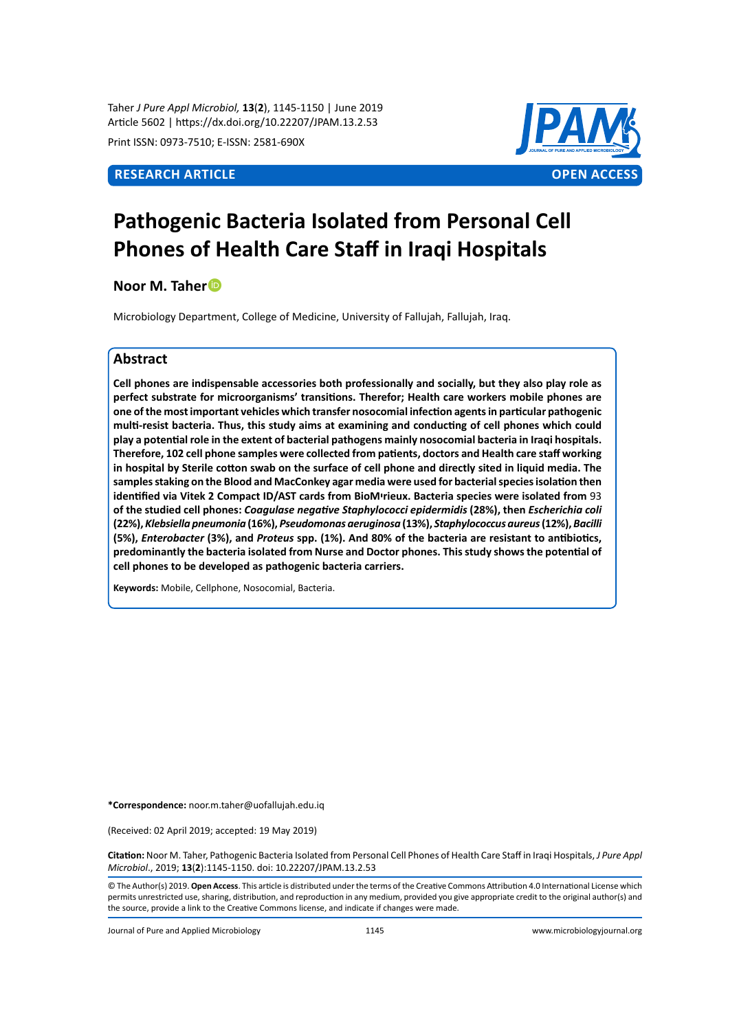Taher *J Pure Appl Microbiol,* **13**(**2**), 1145-1150 | June 2019 Article 5602 | https://dx.doi.org/10.22207/JPAM.13.2.53

Print ISSN: 0973-7510; E-ISSN: 2581-690X



# **Pathogenic Bacteria Isolated from Personal Cell Phones of Health Care Staff in Iraqi Hospitals**

**Noor M. Taher**

Microbiology Department, College of Medicine, University of Fallujah, Fallujah, Iraq.

# **Abstract**

**Cell phones are indispensable accessories both professionally and socially, but they also play role as perfect substrate for microorganisms' transitions. Therefor; Health care workers mobile phones are one of the most important vehicles which transfer nosocomial infection agents in particular pathogenic multi-resist bacteria. Thus, this study aims at examining and conducting of cell phones which could play a potential role in the extent of bacterial pathogens mainly nosocomial bacteria in Iraqi hospitals. Therefore, 102 cell phone samples were collected from patients, doctors and Health care staff working in hospital by Sterile cotton swab on the surface of cell phone and directly sited in liquid media. The samples staking on the Blood and MacConkey agar media were used for bacterial species isolation then identified via Vitek 2 Compact ID/AST cards from BioMיrieux. Bacteria species were isolated from** 93 **of the studied cell phones:** *Coagulase negative Staphylococci epidermidis* **(28%), then** *Escherichia coli*  **(22%),** *Klebsiella pneumonia* **(16%),** *Pseudomonas aeruginosa* **(13%),** *Staphylococcus aureus* **(12%),** *Bacilli*  **(5%),** *Enterobacter* **(3%), and** *Proteus* **spp. (1%). And 80% of the bacteria are resistant to antibiotics, predominantly the bacteria isolated from Nurse and Doctor phones. This study shows the potential of cell phones to be developed as pathogenic bacteria carriers.**

**Keywords:** Mobile, Cellphone, Nosocomial, Bacteria.

**\*Correspondence:** noor.m.taher@uofallujah.edu.iq

(Received: 02 April 2019; accepted: 19 May 2019)

**Citation:** Noor M. Taher, Pathogenic Bacteria Isolated from Personal Cell Phones of Health Care Staff in Iraqi Hospitals, *J Pure Appl Microbiol*., 2019; **13**(**2**):1145-1150. doi: 10.22207/JPAM.13.2.53

© The Author(s) 2019. **Open Access**. This article is distributed under the terms of the Creative Commons Attribution 4.0 International License which permits unrestricted use, sharing, distribution, and reproduction in any medium, provided you give appropriate credit to the original author(s) and the source, provide a link to the Creative Commons license, and indicate if changes were made.

Journal of Pure and Applied Microbiology 1145 www.microbiologyjournal.org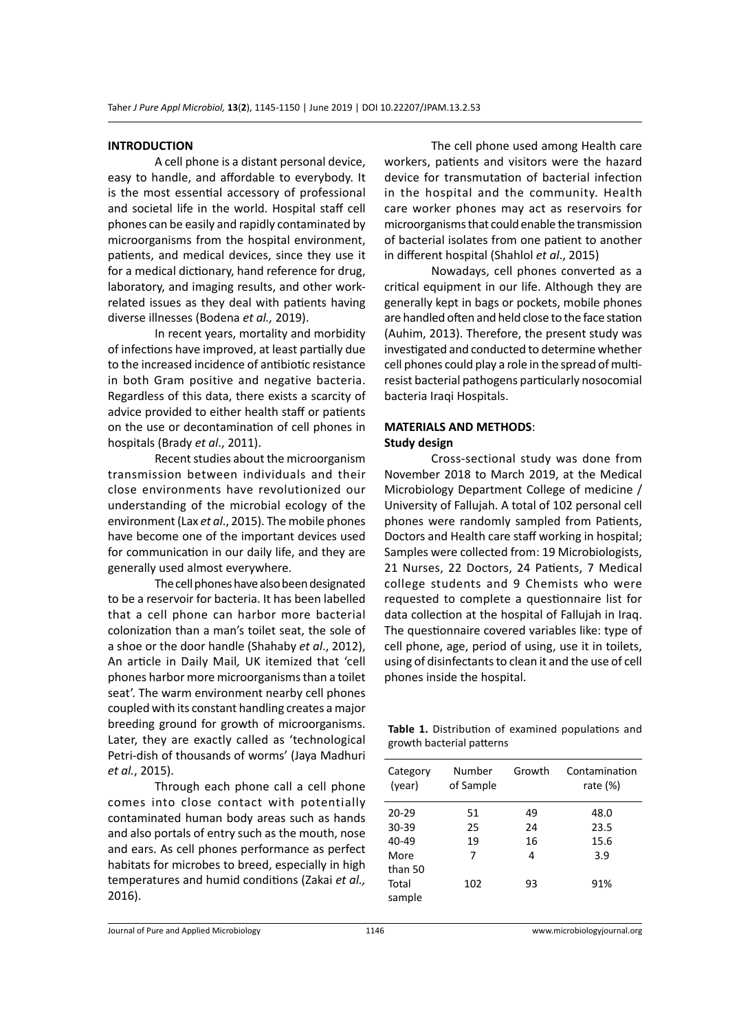#### **INTRODUCTION**

A cell phone is a distant personal device, easy to handle, and affordable to everybody. It is the most essential accessory of professional and societal life in the world. Hospital staff cell phones can be easily and rapidly contaminated by microorganisms from the hospital environment, patients, and medical devices, since they use it for a medical dictionary, hand reference for drug, laboratory, and imaging results, and other workrelated issues as they deal with patients having diverse illnesses (Bodena *et al.,* 2019).

In recent years, mortality and morbidity of infections have improved, at least partially due to the increased incidence of antibiotic resistance in both Gram positive and negative bacteria. Regardless of this data, there exists a scarcity of advice provided to either health staff or patients on the use or decontamination of cell phones in hospitals (Brady *et al*., 2011).

Recent studies about the microorganism transmission between individuals and their close environments have revolutionized our understanding of the microbial ecology of the environment (Lax *et al*., 2015). The mobile phones have become one of the important devices used for communication in our daily life, and they are generally used almost everywhere.

The cell phones have also been designated to be a reservoir for bacteria. It has been labelled that a cell phone can harbor more bacterial colonization than a man's toilet seat, the sole of a shoe or the door handle (Shahaby *et al*., 2012), An article in Daily Mail*,* UK itemized that 'cell phones harbor more microorganisms than a toilet seat'. The warm environment nearby cell phones coupled with its constant handling creates a major breeding ground for growth of microorganisms. Later, they are exactly called as 'technological Petri-dish of thousands of worms' (Jaya Madhuri *et al.*, 2015).

Through each phone call a cell phone comes into close contact with potentially contaminated human body areas such as hands and also portals of entry such as the mouth, nose and ears. As cell phones performance as perfect habitats for microbes to breed, especially in high temperatures and humid conditions (Zakai *et al.,* 2016).

The cell phone used among Health care workers, patients and visitors were the hazard device for transmutation of bacterial infection in the hospital and the community. Health care worker phones may act as reservoirs for microorganisms that could enable the transmission of bacterial isolates from one patient to another in different hospital (Shahlol *et al*., 2015)

Nowadays, cell phones converted as a critical equipment in our life. Although they are generally kept in bags or pockets, mobile phones are handled often and held close to the face station (Auhim, 2013). Therefore, the present study was investigated and conducted to determine whether cell phones could play a role in the spread of multiresist bacterial pathogens particularly nosocomial bacteria Iraqi Hospitals.

### **MATERIALS AND METHODS**: **Study design**

Cross-sectional study was done from November 2018 to March 2019, at the Medical Microbiology Department College of medicine / University of Fallujah. A total of 102 personal cell phones were randomly sampled from Patients, Doctors and Health care staff working in hospital; Samples were collected from: 19 Microbiologists, 21 Nurses, 22 Doctors, 24 Patients, 7 Medical college students and 9 Chemists who were requested to complete a questionnaire list for data collection at the hospital of Fallujah in Iraq. The questionnaire covered variables like: type of cell phone, age, period of using, use it in toilets, using of disinfectants to clean it and the use of cell phones inside the hospital.

**Table 1.** Distribution of examined populations and growth bacterial patterns

| Category<br>(year) | Number<br>of Sample | Growth | Contamination<br>rate $(\%)$ |
|--------------------|---------------------|--------|------------------------------|
| $20 - 29$          | 51                  | 49     | 48.0                         |
| 30-39              | 25                  | 24     | 23.5                         |
| 40-49              | 19                  | 16     | 15.6                         |
| More               | 7                   | 4      | 3.9                          |
| than 50            |                     |        |                              |
| Total              | 102                 | 93     | 91%                          |
| sample             |                     |        |                              |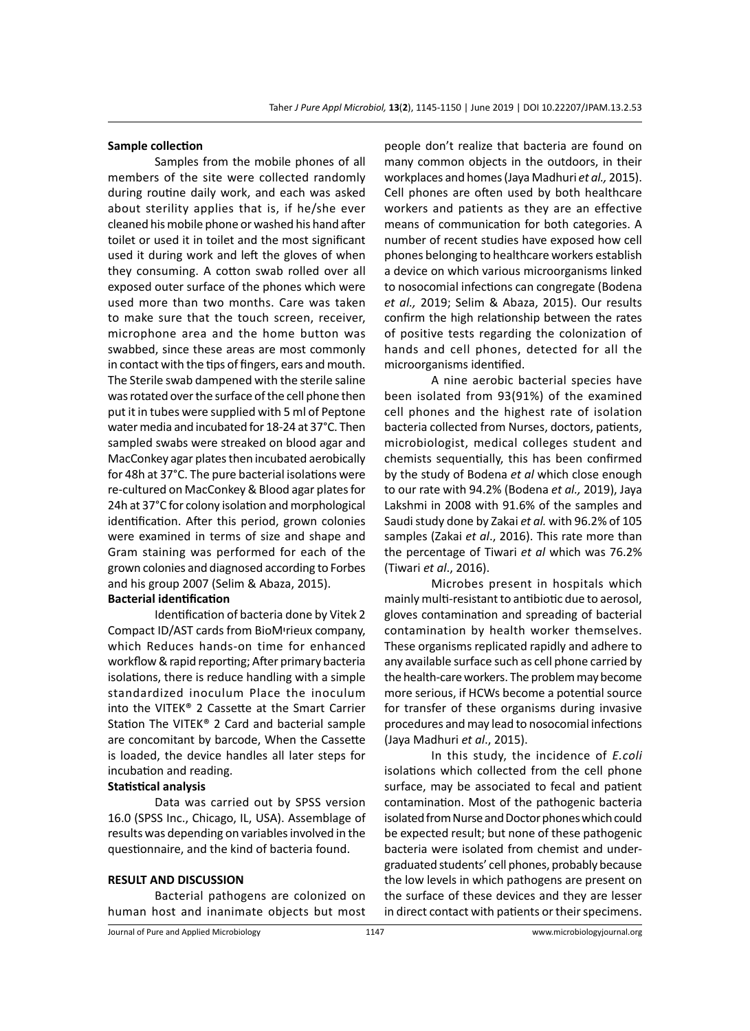#### **Sample collection**

Samples from the mobile phones of all members of the site were collected randomly during routine daily work, and each was asked about sterility applies that is, if he/she ever cleaned his mobile phone or washed his hand after toilet or used it in toilet and the most significant used it during work and left the gloves of when they consuming. A cotton swab rolled over all exposed outer surface of the phones which were used more than two months. Care was taken to make sure that the touch screen, receiver, microphone area and the home button was swabbed, since these areas are most commonly in contact with the tips of fingers, ears and mouth. The Sterile swab dampened with the sterile saline was rotated over the surface of the cell phone then put it in tubes were supplied with 5 ml of Peptone water media and incubated for 18-24 at 37°C. Then sampled swabs were streaked on blood agar and MacConkey agar plates then incubated aerobically for 48h at 37°C. The pure bacterial isolations were re-cultured on MacConkey & Blood agar plates for 24h at 37°C for colony isolation and morphological identification. After this period, grown colonies were examined in terms of size and shape and Gram staining was performed for each of the grown colonies and diagnosed according to Forbes and his group 2007 (Selim & Abaza, 2015).

# **Bacterial identification**

Identification of bacteria done by Vitek 2 Compact ID/AST cards from BioMיrieux company, which Reduces hands-on time for enhanced workflow & rapid reporting; After primary bacteria isolations, there is reduce handling with a simple standardized inoculum Place the inoculum into the VITEK® 2 Cassette at the Smart Carrier Station The VITEK® 2 Card and bacterial sample are concomitant by barcode, When the Cassette is loaded, the device handles all later steps for incubation and reading.

# **Statistical analysis**

Data was carried out by SPSS version 16.0 (SPSS Inc., Chicago, IL, USA). Assemblage of results was depending on variables involved in the questionnaire, and the kind of bacteria found.

#### **RESULT AND DISCUSSION**

Bacterial pathogens are colonized on human host and inanimate objects but most people don't realize that bacteria are found on many common objects in the outdoors, in their workplaces and homes (Jaya Madhuri *et al.,* 2015). Cell phones are often used by both healthcare workers and patients as they are an effective means of communication for both categories. A number of recent studies have exposed how cell phones belonging to healthcare workers establish a device on which various microorganisms linked to nosocomial infections can congregate (Bodena *et al.,* 2019; Selim & Abaza, 2015). Our results confirm the high relationship between the rates of positive tests regarding the colonization of hands and cell phones, detected for all the microorganisms identified.

A nine aerobic bacterial species have been isolated from 93(91%) of the examined cell phones and the highest rate of isolation bacteria collected from Nurses, doctors, patients, microbiologist, medical colleges student and chemists sequentially, this has been confirmed by the study of Bodena *et al* which close enough to our rate with 94.2% (Bodena *et al.,* 2019), Jaya Lakshmi in 2008 with 91.6% of the samples and Saudi study done by Zakai *et al.* with 96.2% of 105 samples (Zakai *et al*., 2016). This rate more than the percentage of Tiwari *et al* which was 76.2% (Tiwari *et al*., 2016).

Microbes present in hospitals which mainly multi-resistant to antibiotic due to aerosol, gloves contamination and spreading of bacterial contamination by health worker themselves. These organisms replicated rapidly and adhere to any available surface such as cell phone carried by the health-care workers. The problem may become more serious, if HCWs become a potential source for transfer of these organisms during invasive procedures and may lead to nosocomial infections (Jaya Madhuri *et al*., 2015).

In this study, the incidence of *E.coli* isolations which collected from the cell phone surface, may be associated to fecal and patient contamination. Most of the pathogenic bacteria isolated from Nurse and Doctor phones which could be expected result; but none of these pathogenic bacteria were isolated from chemist and undergraduated students' cell phones, probably because the low levels in which pathogens are present on the surface of these devices and they are lesser in direct contact with patients or their specimens.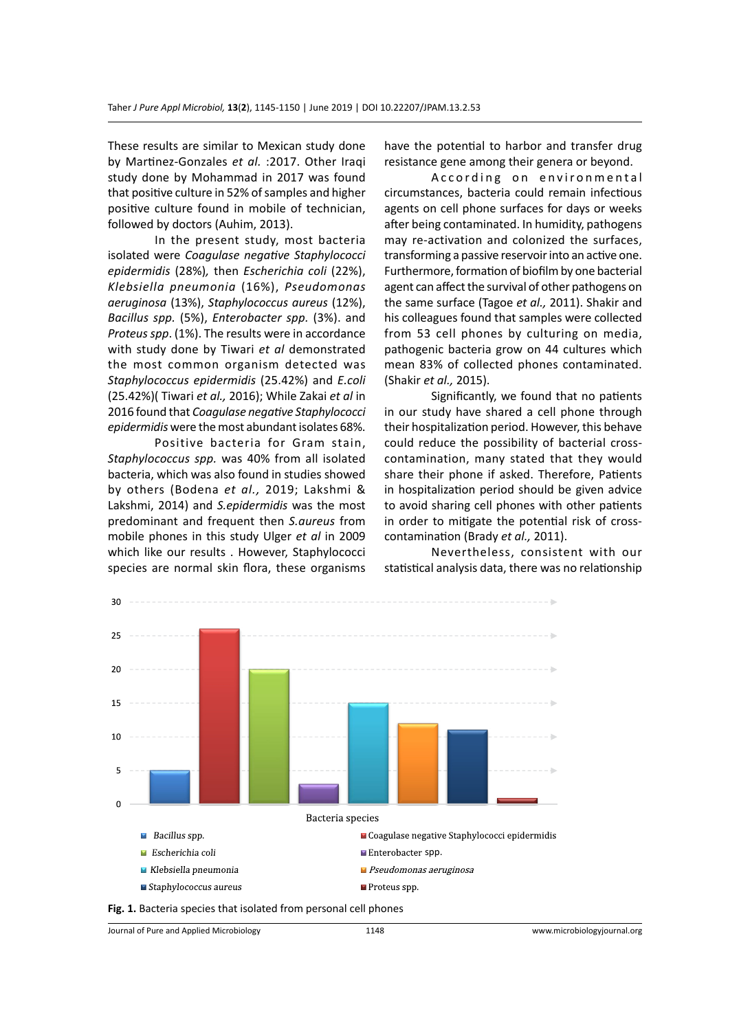These results are similar to Mexican study done by Martinez-Gonzales *et al.* :2017. Other Iraqi study done by Mohammad in 2017 was found that positive culture in 52% of samples and higher positive culture found in mobile of technician, followed by doctors (Auhim, 2013).

In the present study, most bacteria isolated were *Coagulase negative Staphylococci epidermidis* (28%)*,* then *Escherichia coli* (22%), *Klebsiella pneumonia* (16%), *Pseudomonas aeruginosa* (13%), *Staphylococcus aureus* (12%), *Bacillus spp.* (5%), *Enterobacter spp.* (3%). and *Proteus spp*. (1%). The results were in accordance with study done by Tiwari *et al* demonstrated the most common organism detected was *Staphylococcus epidermidis* (25.42%) and *E.coli* (25.42%)( Tiwari *et al.,* 2016); While Zakai *et al* in 2016 found that *Coagulase negative Staphylococci epidermidis* were the most abundant isolates 68%.

Positive bacteria for Gram stain, *Staphylococcus spp.* was 40% from all isolated bacteria, which was also found in studies showed by others (Bodena *et al.,* 2019; Lakshmi & Lakshmi, 2014) and *S.epidermidis* was the most predominant and frequent then *S.aureus* from mobile phones in this study Ulger *et al* in 2009 which like our results . However, Staphylococci species are normal skin flora, these organisms have the potential to harbor and transfer drug resistance gene among their genera or beyond.

According on environmental circumstances, bacteria could remain infectious agents on cell phone surfaces for days or weeks after being contaminated. In humidity, pathogens may re-activation and colonized the surfaces, transforming a passive reservoir into an active one. Furthermore, formation of biofilm by one bacterial agent can affect the survival of other pathogens on the same surface (Tagoe *et al.,* 2011). Shakir and his colleagues found that samples were collected from 53 cell phones by culturing on media, pathogenic bacteria grow on 44 cultures which mean 83% of collected phones contaminated. (Shakir *et al.,* 2015).

Significantly, we found that no patients in our study have shared a cell phone through their hospitalization period. However, this behave could reduce the possibility of bacterial crosscontamination, many stated that they would share their phone if asked. Therefore, Patients in hospitalization period should be given advice to avoid sharing cell phones with other patients in order to mitigate the potential risk of crosscontamination (Brady *et al.,* 2011).

Nevertheless, consistent with our statistical analysis data, there was no relationship



**Fig. 1.** Bacteria species that isolated from personal cell phones

Journal of Pure and Applied Microbiology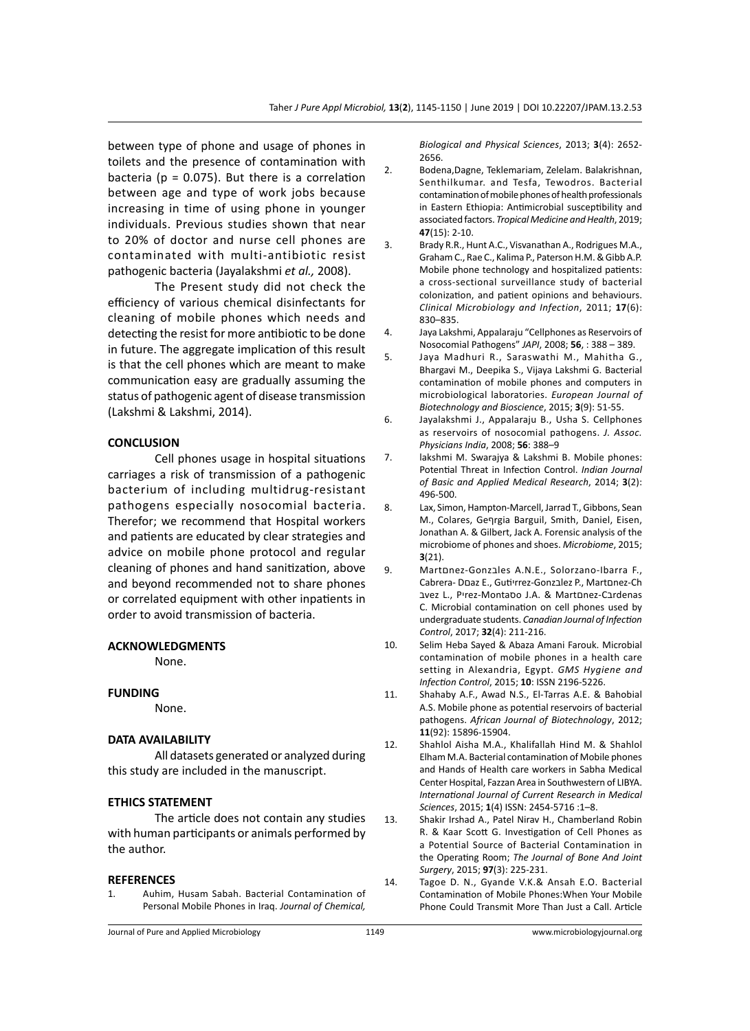between type of phone and usage of phones in toilets and the presence of contamination with bacteria ( $p = 0.075$ ). But there is a correlation between age and type of work jobs because increasing in time of using phone in younger individuals. Previous studies shown that near to 20% of doctor and nurse cell phones are contaminated with multi-antibiotic resist pathogenic bacteria (Jayalakshmi *et al.,* 2008).

The Present study did not check the efficiency of various chemical disinfectants for cleaning of mobile phones which needs and detecting the resist for more antibiotic to be done in future. The aggregate implication of this result is that the cell phones which are meant to make communication easy are gradually assuming the status of pathogenic agent of disease transmission (Lakshmi & Lakshmi, 2014).

#### **CONCLUSION**

Cell phones usage in hospital situations carriages a risk of transmission of a pathogenic bacterium of including multidrug-resistant pathogens especially nosocomial bacteria. Therefor; we recommend that Hospital workers and patients are educated by clear strategies and advice on mobile phone protocol and regular cleaning of phones and hand sanitization, above and beyond recommended not to share phones or correlated equipment with other inpatients in order to avoid transmission of bacteria.

#### **ACKNOWLEDGMENTS**

None.

#### **FUNDING**

None.

#### **DATA AVAILABILITY**

All datasets generated or analyzed during this study are included in the manuscript.

## **ETHICS STATEMENT**

The article does not contain any studies with human participants or animals performed by the author.

#### **REFERENCES**

1. Auhim, Husam Sabah. Bacterial Contamination of Personal Mobile Phones in Iraq. *Journal of Chemical,* 

*Biological and Physical Sciences*, 2013; **3**(4): 2652- 2656.

- 2. Bodena,Dagne, Teklemariam, Zelelam. Balakrishnan, Senthilkumar. and Tesfa, Tewodros. Bacterial contamination of mobile phones of health professionals in Eastern Ethiopia: Antimicrobial susceptibility and associated factors. *Tropical Medicine and Health*, 2019; **47**(15): 2-10.
- 3. Brady R.R., Hunt A.C., Visvanathan A., Rodrigues M.A., Graham C., Rae C., Kalima P., Paterson H.M. & Gibb A.P. Mobile phone technology and hospitalized patients: a cross-sectional surveillance study of bacterial colonization, and patient opinions and behaviours. *Clinical Microbiology and Infection*, 2011; **17**(6): 830–835.
- 4. Jaya Lakshmi, Appalaraju "Cellphones as Reservoirs of Nosocomial Pathogens" *JAPI*, 2008; **56**, : 388 – 389.
- 5. Jaya Madhuri R., Saraswathi M., Mahitha G., Bhargavi M., Deepika S., Vijaya Lakshmi G. Bacterial contamination of mobile phones and computers in microbiological laboratories. *European Journal of Biotechnology and Bioscience*, 2015; **3**(9): 51-55.
- 6. Jayalakshmi J., Appalaraju B., Usha S. Cellphones as reservoirs of nosocomial pathogens. *J. Assoc. Physicians India*, 2008; **56**: 388–9
- 7. lakshmi M. Swarajya & Lakshmi B. Mobile phones: Potential Threat in Infection Control. *Indian Journal of Basic and Applied Medical Research*, 2014; **3**(2): 496-500.
- 8. Lax, Simon, Hampton-Marcell, Jarrad T., Gibbons, Sean M., Colares, Geףrgia Barguil, Smith, Daniel, Eisen, Jonathan A. & Gilbert, Jack A. Forensic analysis of the microbiome of phones and shoes. *Microbiome*, 2015; **3**(21).
- 9. Martnnez-Gonzales A.N.E., Solorzano-Ibarra F., Cabrera- Dםaz E., Gutiיrrez-Gonzבlez P., Martםnez-Ch בvez L., Pיrez-Montaסo J.A. & Martםnez-Cבrdenas C. Microbial contamination on cell phones used by undergraduate students. *Canadian Journal of Infection Control*, 2017; **32**(4): 211-216.
- 10. Selim Heba Sayed & Abaza Amani Farouk. Microbial contamination of mobile phones in a health care setting in Alexandria, Egypt. *GMS Hygiene and Infection Control*, 2015; **10**: ISSN 2196-5226.
- 11. Shahaby A.F., Awad N.S., El-Tarras A.E. & Bahobial A.S. Mobile phone as potential reservoirs of bacterial pathogens. *African Journal of Biotechnology*, 2012; **11**(92): 15896-15904.
- 12. Shahlol Aisha M.A., Khalifallah Hind M. & Shahlol Elham M.A. Bacterial contamination of Mobile phones and Hands of Health care workers in Sabha Medical Center Hospital, Fazzan Area in Southwestern of LIBYA. *International Journal of Current Research in Medical Sciences*, 2015; **1**(4) ISSN: 2454-5716 :1–8.
- 13. Shakir Irshad A., Patel Nirav H., Chamberland Robin R. & Kaar Scott G. Investigation of Cell Phones as a Potential Source of Bacterial Contamination in the Operating Room; *The Journal of Bone And Joint Surgery*, 2015; **97**(3): 225-231.
- 14. Tagoe D. N., Gyande V.K.& Ansah E.O. Bacterial Contamination of Mobile Phones:When Your Mobile Phone Could Transmit More Than Just a Call. Article